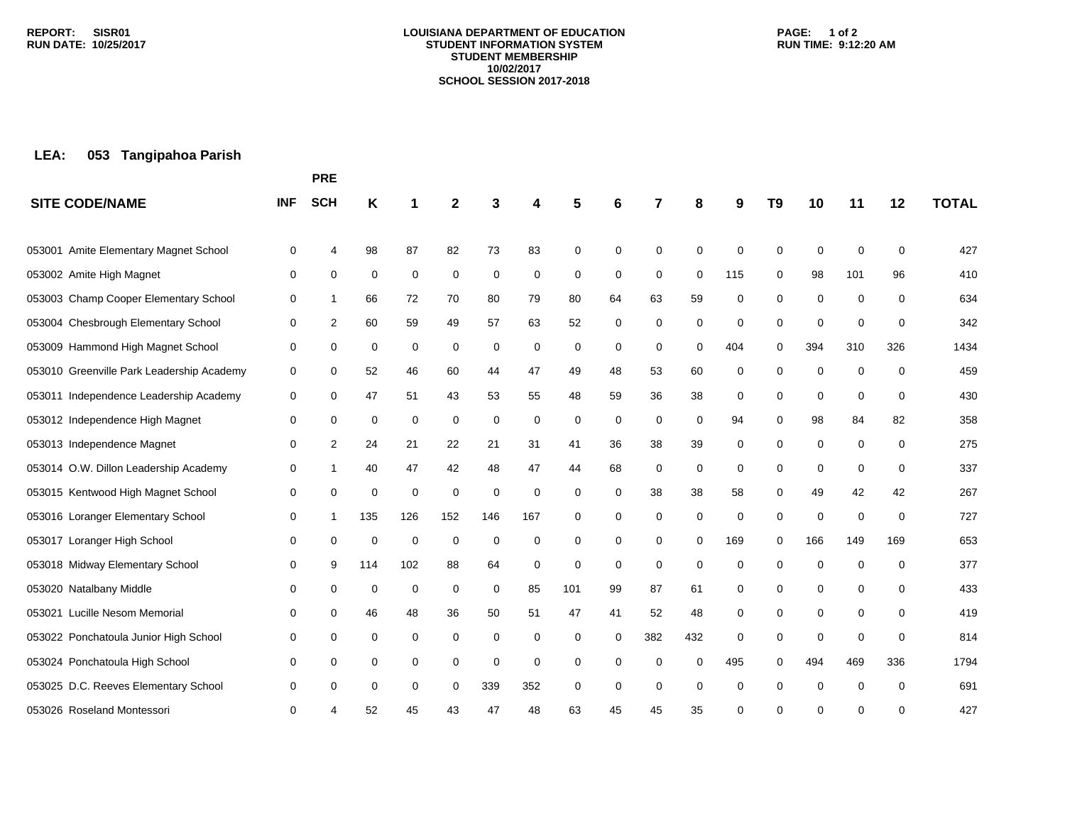#### **LOUISIANA DEPARTMENT OF EDUCATION STUDENT INFORMATION SYSTEM STUDENT MEMBERSHIP 10/02/2017 SCHOOL SESSION 2017-2018**

### **PAGE: 1 of 2 RUN TIME: 9:12:20 AM**

# **LEA: 053 Tangipahoa Parish**

|                                           |            | <b>PRE</b> |     |             |             |             |     |     |    |             |             |     |          |             |             |          |              |
|-------------------------------------------|------------|------------|-----|-------------|-------------|-------------|-----|-----|----|-------------|-------------|-----|----------|-------------|-------------|----------|--------------|
| <b>SITE CODE/NAME</b>                     | <b>INF</b> | <b>SCH</b> | Κ   |             | 2           |             | 4   | 5   | 6  |             | 8           | 9   | T9       | 10          | 11          | 12       | <b>TOTAL</b> |
| Amite Elementary Magnet School<br>053001  | 0          | 4          | 98  | 87          | 82          | 73          | 83  | 0   | 0  | 0           | $\Omega$    | 0   | 0        | $\mathbf 0$ | 0           | 0        | 427          |
| 053002 Amite High Magnet                  | 0          | 0          | 0   | $\mathbf 0$ | 0           | 0           | 0   | 0   | 0  | 0           | $\mathbf 0$ | 115 | 0        | 98          | 101         | 96       | 410          |
| 053003 Champ Cooper Elementary School     | 0          | 1          | 66  | 72          | 70          | 80          | 79  | 80  | 64 | 63          | 59          | 0   | 0        | 0           | $\mathbf 0$ | 0        | 634          |
| 053004 Chesbrough Elementary School       | 0          | 2          | 60  | 59          | 49          | 57          | 63  | 52  | 0  | 0           | 0           | 0   | 0        | $\mathbf 0$ | 0           | 0        | 342          |
| 053009 Hammond High Magnet School         | 0          | 0          | 0   | 0           | 0           | 0           | 0   | 0   | 0  | 0           | 0           | 404 | 0        | 394         | 310         | 326      | 1434         |
| 053010 Greenville Park Leadership Academy | 0          | 0          | 52  | 46          | 60          | 44          | 47  | 49  | 48 | 53          | 60          | 0   | 0        | 0           | $\mathbf 0$ | 0        | 459          |
| 053011 Independence Leadership Academy    | 0          | 0          | 47  | 51          | 43          | 53          | 55  | 48  | 59 | 36          | 38          | 0   | 0        | $\mathbf 0$ | $\mathbf 0$ | 0        | 430          |
| 053012 Independence High Magnet           | 0          | 0          | 0   | 0           | 0           | 0           | 0   | 0   | 0  | 0           | 0           | 94  | $\Omega$ | 98          | 84          | 82       | 358          |
| 053013 Independence Magnet                | 0          | 2          | 24  | 21          | 22          | 21          | 31  | 41  | 36 | 38          | 39          | 0   | 0        | 0           | 0           | 0        | 275          |
| 053014 O.W. Dillon Leadership Academy     | 0          | 1          | 40  | 47          | 42          | 48          | 47  | 44  | 68 | 0           | 0           | 0   | 0        | 0           | $\mathbf 0$ | 0        | 337          |
| 053015 Kentwood High Magnet School        | 0          | 0          | 0   | $\mathbf 0$ | $\Omega$    | $\mathbf 0$ | 0   | 0   | 0  | 38          | 38          | 58  | $\Omega$ | 49          | 42          | 42       | 267          |
| 053016 Loranger Elementary School         | 0          | 1          | 135 | 126         | 152         | 146         | 167 | 0   | 0  | 0           | 0           | 0   | 0        | $\mathbf 0$ | 0           | 0        | 727          |
| 053017 Loranger High School               | 0          | 0          | 0   | 0           | $\mathbf 0$ | 0           | 0   | 0   | 0  | 0           | 0           | 169 | 0        | 166         | 149         | 169      | 653          |
| 053018 Midway Elementary School           | 0          | 9          | 114 | 102         | 88          | 64          | 0   | 0   | 0  | $\mathbf 0$ | 0           | 0   | 0        | 0           | $\mathbf 0$ | 0        | 377          |
| 053020 Natalbany Middle                   | 0          | 0          | 0   | 0           | 0           | 0           | 85  | 101 | 99 | 87          | 61          | 0   | 0        | 0           | 0           | 0        | 433          |
| 053021 Lucille Nesom Memorial             | 0          | 0          | 46  | 48          | 36          | 50          | 51  | 47  | 41 | 52          | 48          | 0   | 0        | 0           | 0           | 0        | 419          |
| 053022 Ponchatoula Junior High School     | 0          | 0          | 0   | 0           | 0           | 0           | 0   | 0   | 0  | 382         | 432         | 0   | 0        | 0           | 0           | 0        | 814          |
| 053024 Ponchatoula High School            | 0          | 0          | 0   | 0           | 0           | 0           | 0   | 0   | 0  | 0           | $\Omega$    | 495 | $\Omega$ | 494         | 469         | 336      | 1794         |
| 053025 D.C. Reeves Elementary School      | 0          | 0          | 0   | 0           | 0           | 339         | 352 | 0   | 0  | $\mathbf 0$ | $\Omega$    | 0   | 0        | 0           | $\mathbf 0$ | $\Omega$ | 691          |
| 053026 Roseland Montessori                | 0          |            | 52  | 45          | 43          | 47          | 48  | 63  | 45 | 45          | 35          | 0   | 0        | ∩           | 0           | 0        | 427          |